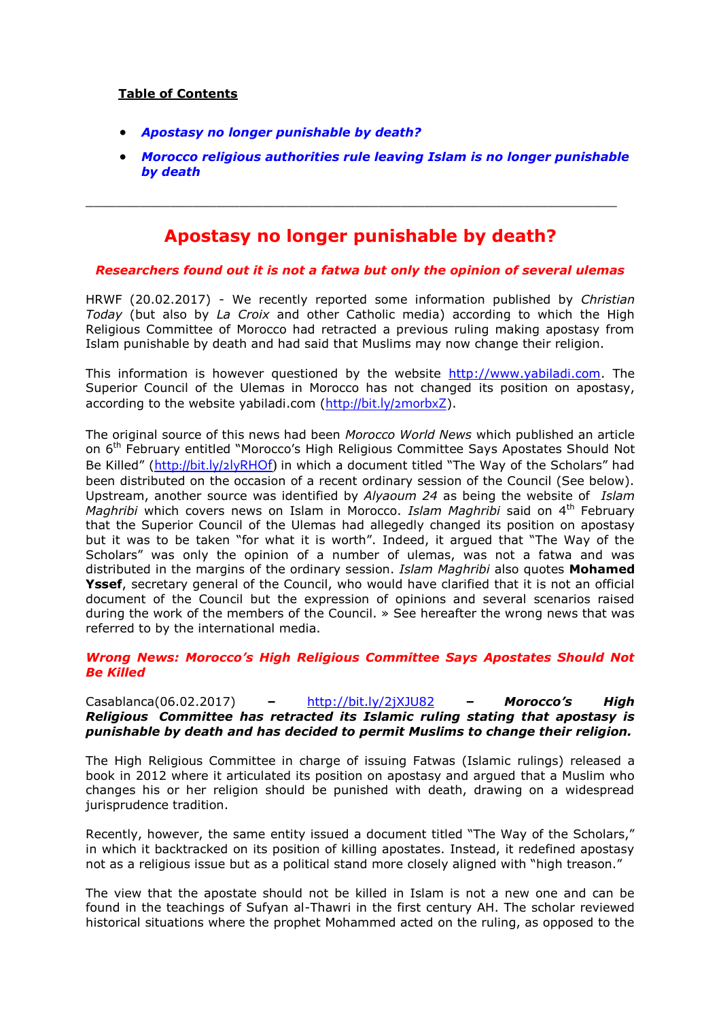### **Table of Contents**

- *[Apostasy no longer punishable by death?](#page-0-0)*
- *[Morocco religious authorities rule leaving Islam is no longer punishable](#page-1-0)  [by death](#page-1-0)*

# **Apostasy no longer punishable by death?**

<span id="page-0-0"></span> $\_$  , and the set of the set of the set of the set of the set of the set of the set of the set of the set of the set of the set of the set of the set of the set of the set of the set of the set of the set of the set of th

#### *Researchers found out it is not a fatwa but only the opinion of several ulemas*

HRWF (20.02.2017) - We recently reported some information published by *Christian Today* (but also by *La Croix* and other Catholic media) according to which the High Religious Committee of Morocco had retracted a previous ruling making apostasy from Islam punishable by death and had said that Muslims may now change their religion.

This information is however questioned by the website [http://www.yabiladi.com.](http://www.yabiladi.com/) The Superior Council of the Ulemas in Morocco has not changed its position on apostasy, according to the website yabiladi.com (http://bit.ly/2morbxZ).

The original source of this news had been *Morocco World News* which published an article on 6<sup>th</sup> February entitled "Morocco's High Religious Committee Says Apostates Should Not Be Killed" ([http://bit.ly/2lyRHOf](http://bit.ly/2lyRHOf))) in which a document titled "The Way of the Scholars" had been distributed on the occasion of a recent ordinary session of the Council (See below). Upstream, another source was identified by *Alyaoum 24* as being the website of *Islam Maghribi* which covers news on Islam in Morocco. *Islam Maghribi* said on 4th February that the Superior Council of the Ulemas had allegedly changed its position on apostasy but it was to be taken "for what it is worth". Indeed, it argued that "The Way of the Scholars" was only the opinion of a number of ulemas, was not a fatwa and was distributed in the margins of the ordinary session. *Islam Maghribi* also quotes **Mohamed Yssef**, secretary general of the Council, who would have clarified that it is not an official document of the Council but the expression of opinions and several scenarios raised during the work of the members of the Council. » See hereafter the wrong news that was referred to by the international media.

#### *Wrong News: Morocco's High Religious Committee Says Apostates Should Not Be Killed*

#### Casablanca(06.02.2017) **–** <http://bit.ly/2jXJU82> **–** *Morocco's High Religious Committee has retracted its Islamic ruling stating that apostasy is punishable by death and has decided to permit Muslims to change their religion.*

The High Religious Committee in charge of issuing Fatwas (Islamic rulings) released a book in 2012 where it articulated its position on apostasy and argued that a Muslim who changes his or her religion should be punished with death, drawing on a widespread jurisprudence tradition.

Recently, however, the same entity issued a document titled "The Way of the Scholars," in which it backtracked on its position of killing apostates. Instead, it redefined apostasy not as a religious issue but as a political stand more closely aligned with "high treason."

The view that the apostate should not be killed in Islam is not a new one and can be found in the teachings of Sufyan al-Thawri in the first century AH. The scholar reviewed historical situations where the prophet Mohammed acted on the ruling, as opposed to the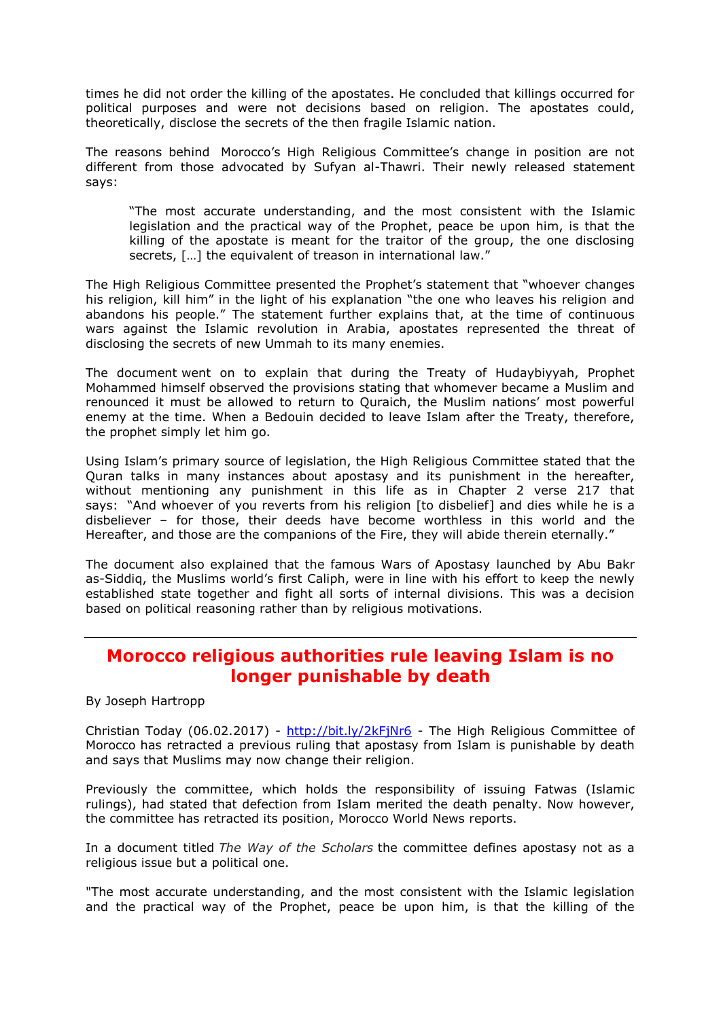times he did not order the killing of the apostates. He concluded that killings occurred for political purposes and were not decisions based on religion. The apostates could, theoretically, disclose the secrets of the then fragile Islamic nation.

The reasons behind Morocco's High Religious Committee's change in position are not different from those advocated by Sufyan al-Thawri. Their newly released statement says:

"The most accurate understanding, and the most consistent with the Islamic legislation and the practical way of the Prophet, peace be upon him, is that the killing of the apostate is meant for the traitor of the group, the one disclosing secrets, […] the equivalent of treason in international law."

The High Religious Committee presented the Prophet's statement that "whoever changes his religion, kill him" in the light of his explanation "the one who leaves his religion and abandons his people." The statement further explains that, at the time of continuous wars against the Islamic revolution in Arabia, apostates represented the threat of disclosing the secrets of new Ummah to its many enemies.

The document went on to explain that during the Treaty of Hudaybiyyah, Prophet Mohammed himself observed the provisions stating that whomever became a Muslim and renounced it must be allowed to return to Quraich, the Muslim nations' most powerful enemy at the time. When a Bedouin decided to leave Islam after the Treaty, therefore, the prophet simply let him go.

Using Islam's primary source of legislation, the High Religious Committee stated that the Quran talks in many instances about apostasy and its punishment in the hereafter, without mentioning any punishment in this life as in Chapter 2 verse 217 that says: "And whoever of you reverts from his religion [to disbelief] and dies while he is a disbeliever – for those, their deeds have become worthless in this world and the Hereafter, and those are the companions of the Fire, they will abide therein eternally."

The document also explained that the famous Wars of Apostasy launched by Abu Bakr as-Siddiq, the Muslims world's first Caliph, were in line with his effort to keep the newly established state together and fight all sorts of internal divisions. This was a decision based on political reasoning rather than by religious motivations.

## <span id="page-1-0"></span>**Morocco religious authorities rule leaving Islam is no longer punishable by death**

By Joseph Hartropp

Christian Today (06.02.2017) - <http://bit.ly/2kFjNr6> - The High Religious Committee of Morocco has retracted a previous ruling that apostasy from Islam is punishable by death and says that Muslims may now change their religion.

Previously the committee, which holds the responsibility of issuing Fatwas (Islamic rulings), had stated that defection from Islam merited the death penalty. Now however, the committee has retracted its position, Morocco World News reports.

In a document titled *The Way of the Scholars* the committee defines apostasy not as a religious issue but a political one.

"The most accurate understanding, and the most consistent with the Islamic legislation and the practical way of the Prophet, peace be upon him, is that the killing of the